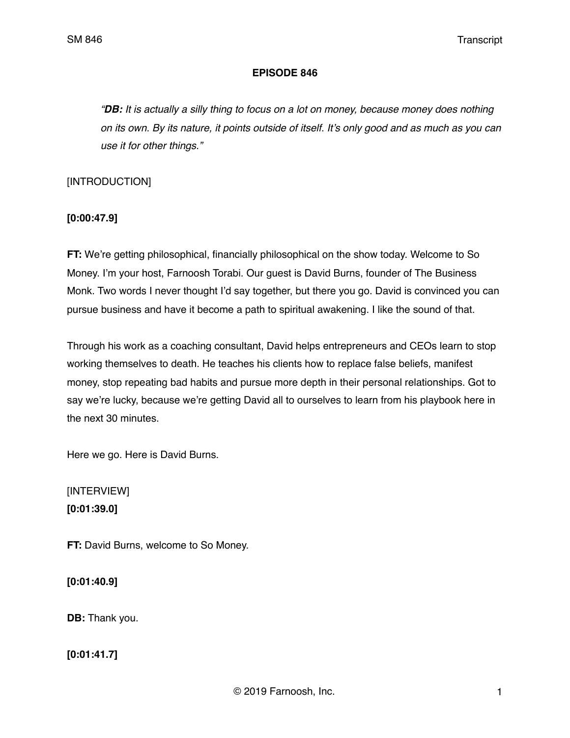#### **EPISODE 846**

*"DB: It is actually a silly thing to focus on a lot on money, because money does nothing on its own. By its nature, it points outside of itself. It's only good and as much as you can use it for other things."*

[INTRODUCTION]

**[0:00:47.9]**

**FT:** We're getting philosophical, financially philosophical on the show today. Welcome to So Money. I'm your host, Farnoosh Torabi. Our guest is David Burns, founder of The Business Monk. Two words I never thought I'd say together, but there you go. David is convinced you can pursue business and have it become a path to spiritual awakening. I like the sound of that.

Through his work as a coaching consultant, David helps entrepreneurs and CEOs learn to stop working themselves to death. He teaches his clients how to replace false beliefs, manifest money, stop repeating bad habits and pursue more depth in their personal relationships. Got to say we're lucky, because we're getting David all to ourselves to learn from his playbook here in the next 30 minutes.

Here we go. Here is David Burns.

[INTERVIEW] **[0:01:39.0]**

**FT:** David Burns, welcome to So Money.

**[0:01:40.9]**

**DB:** Thank you.

**[0:01:41.7]**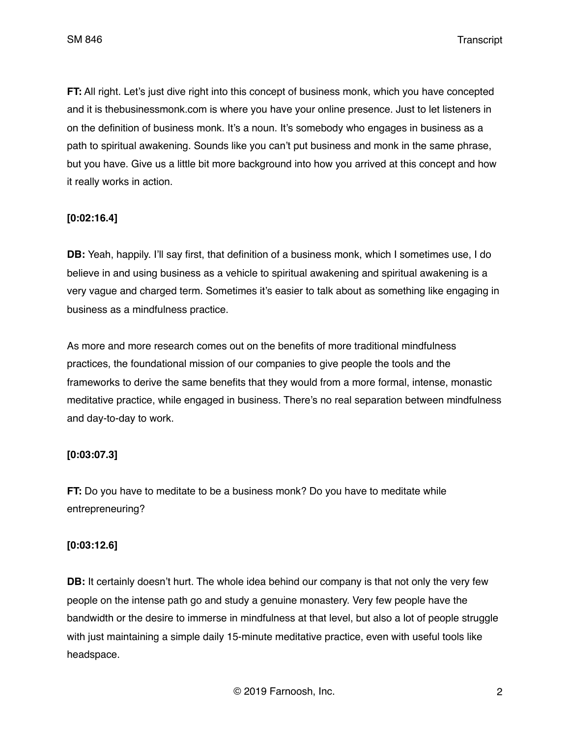SM 846 Transcript

**FT:** All right. Let's just dive right into this concept of business monk, which you have concepted and it is thebusinessmonk.com is where you have your online presence. Just to let listeners in on the definition of business monk. It's a noun. It's somebody who engages in business as a path to spiritual awakening. Sounds like you can't put business and monk in the same phrase, but you have. Give us a little bit more background into how you arrived at this concept and how it really works in action.

## **[0:02:16.4]**

**DB:** Yeah, happily. I'll say first, that definition of a business monk, which I sometimes use, I do believe in and using business as a vehicle to spiritual awakening and spiritual awakening is a very vague and charged term. Sometimes it's easier to talk about as something like engaging in business as a mindfulness practice.

As more and more research comes out on the benefits of more traditional mindfulness practices, the foundational mission of our companies to give people the tools and the frameworks to derive the same benefits that they would from a more formal, intense, monastic meditative practice, while engaged in business. There's no real separation between mindfulness and day-to-day to work.

## **[0:03:07.3]**

**FT:** Do you have to meditate to be a business monk? Do you have to meditate while entrepreneuring?

## **[0:03:12.6]**

**DB:** It certainly doesn't hurt. The whole idea behind our company is that not only the very few people on the intense path go and study a genuine monastery. Very few people have the bandwidth or the desire to immerse in mindfulness at that level, but also a lot of people struggle with just maintaining a simple daily 15-minute meditative practice, even with useful tools like headspace.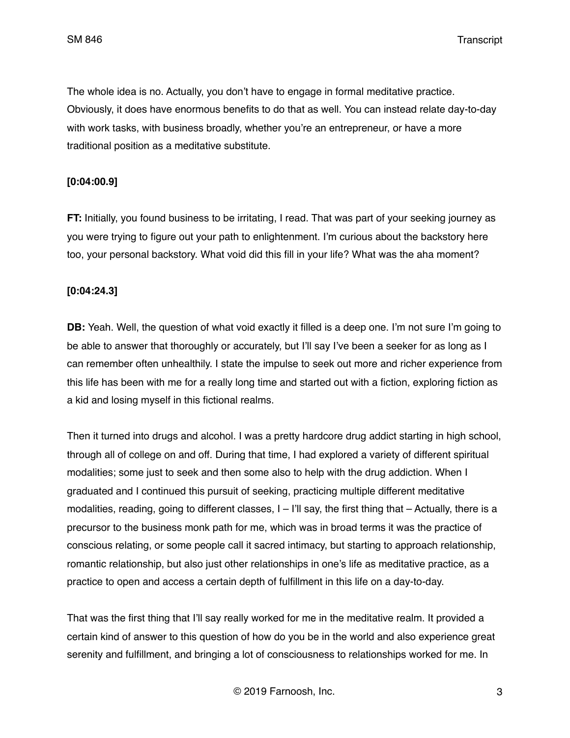SM 846 Transcript

The whole idea is no. Actually, you don't have to engage in formal meditative practice. Obviously, it does have enormous benefits to do that as well. You can instead relate day-to-day with work tasks, with business broadly, whether you're an entrepreneur, or have a more traditional position as a meditative substitute.

### **[0:04:00.9]**

**FT:** Initially, you found business to be irritating, I read. That was part of your seeking journey as you were trying to figure out your path to enlightenment. I'm curious about the backstory here too, your personal backstory. What void did this fill in your life? What was the aha moment?

### **[0:04:24.3]**

**DB:** Yeah. Well, the question of what void exactly it filled is a deep one. I'm not sure I'm going to be able to answer that thoroughly or accurately, but I'll say I've been a seeker for as long as I can remember often unhealthily. I state the impulse to seek out more and richer experience from this life has been with me for a really long time and started out with a fiction, exploring fiction as a kid and losing myself in this fictional realms.

Then it turned into drugs and alcohol. I was a pretty hardcore drug addict starting in high school, through all of college on and off. During that time, I had explored a variety of different spiritual modalities; some just to seek and then some also to help with the drug addiction. When I graduated and I continued this pursuit of seeking, practicing multiple different meditative modalities, reading, going to different classes, I – I'll say, the first thing that – Actually, there is a precursor to the business monk path for me, which was in broad terms it was the practice of conscious relating, or some people call it sacred intimacy, but starting to approach relationship, romantic relationship, but also just other relationships in one's life as meditative practice, as a practice to open and access a certain depth of fulfillment in this life on a day-to-day.

That was the first thing that I'll say really worked for me in the meditative realm. It provided a certain kind of answer to this question of how do you be in the world and also experience great serenity and fulfillment, and bringing a lot of consciousness to relationships worked for me. In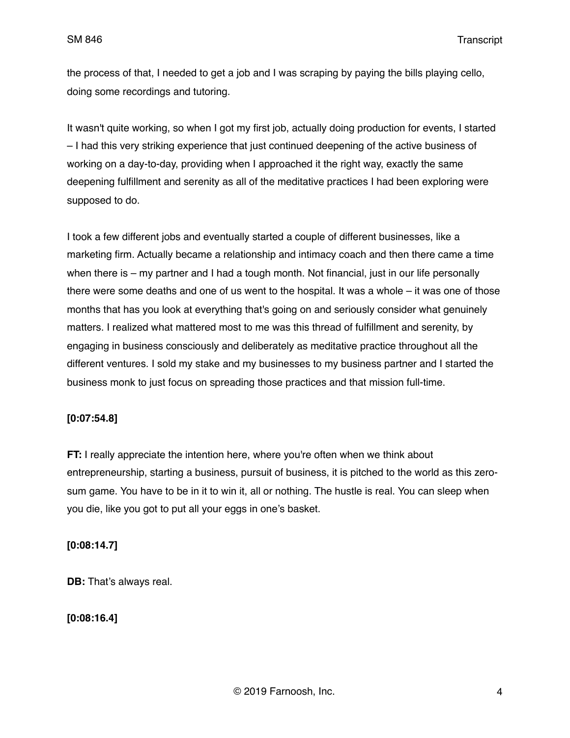the process of that, I needed to get a job and I was scraping by paying the bills playing cello, doing some recordings and tutoring.

It wasn't quite working, so when I got my first job, actually doing production for events, I started – I had this very striking experience that just continued deepening of the active business of working on a day-to-day, providing when I approached it the right way, exactly the same deepening fulfillment and serenity as all of the meditative practices I had been exploring were supposed to do.

I took a few different jobs and eventually started a couple of different businesses, like a marketing firm. Actually became a relationship and intimacy coach and then there came a time when there is – my partner and I had a tough month. Not financial, just in our life personally there were some deaths and one of us went to the hospital. It was a whole – it was one of those months that has you look at everything that's going on and seriously consider what genuinely matters. I realized what mattered most to me was this thread of fulfillment and serenity, by engaging in business consciously and deliberately as meditative practice throughout all the different ventures. I sold my stake and my businesses to my business partner and I started the business monk to just focus on spreading those practices and that mission full-time.

## **[0:07:54.8]**

**FT:** I really appreciate the intention here, where you're often when we think about entrepreneurship, starting a business, pursuit of business, it is pitched to the world as this zerosum game. You have to be in it to win it, all or nothing. The hustle is real. You can sleep when you die, like you got to put all your eggs in one's basket.

#### **[0:08:14.7]**

**DB:** That's always real.

## **[0:08:16.4]**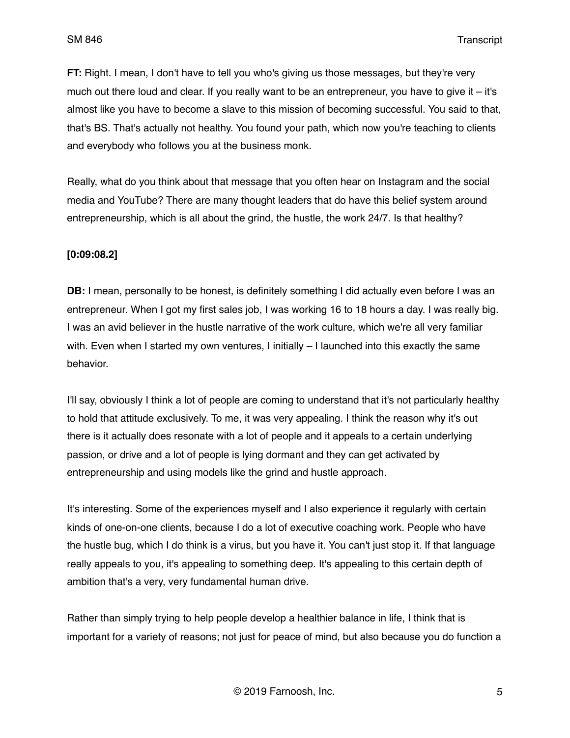**FT:** Right. I mean, I don't have to tell you who's giving us those messages, but they're very much out there loud and clear. If you really want to be an entrepreneur, you have to give it – it's almost like you have to become a slave to this mission of becoming successful. You said to that, that's BS. That's actually not healthy. You found your path, which now you're teaching to clients and everybody who follows you at the business monk.

Really, what do you think about that message that you often hear on Instagram and the social media and YouTube? There are many thought leaders that do have this belief system around entrepreneurship, which is all about the grind, the hustle, the work 24/7. Is that healthy?

### **[0:09:08.2]**

**DB:** I mean, personally to be honest, is definitely something I did actually even before I was an entrepreneur. When I got my first sales job, I was working 16 to 18 hours a day. I was really big. I was an avid believer in the hustle narrative of the work culture, which we're all very familiar with. Even when I started my own ventures, I initially – I launched into this exactly the same behavior.

I'll say, obviously I think a lot of people are coming to understand that it's not particularly healthy to hold that attitude exclusively. To me, it was very appealing. I think the reason why it's out there is it actually does resonate with a lot of people and it appeals to a certain underlying passion, or drive and a lot of people is lying dormant and they can get activated by entrepreneurship and using models like the grind and hustle approach.

It's interesting. Some of the experiences myself and I also experience it regularly with certain kinds of one-on-one clients, because I do a lot of executive coaching work. People who have the hustle bug, which I do think is a virus, but you have it. You can't just stop it. If that language really appeals to you, it's appealing to something deep. It's appealing to this certain depth of ambition that's a very, very fundamental human drive.

Rather than simply trying to help people develop a healthier balance in life, I think that is important for a variety of reasons; not just for peace of mind, but also because you do function a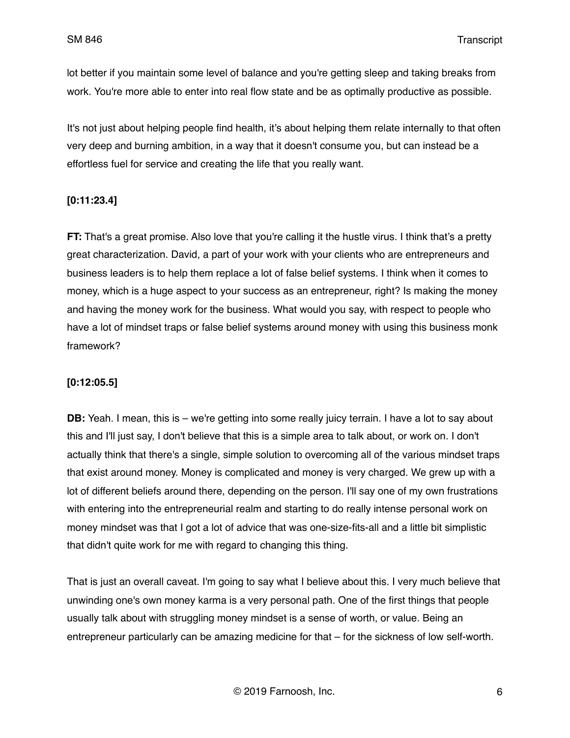lot better if you maintain some level of balance and you're getting sleep and taking breaks from work. You're more able to enter into real flow state and be as optimally productive as possible.

It's not just about helping people find health, it's about helping them relate internally to that often very deep and burning ambition, in a way that it doesn't consume you, but can instead be a effortless fuel for service and creating the life that you really want.

## **[0:11:23.4]**

**FT:** That's a great promise. Also love that you're calling it the hustle virus. I think that's a pretty great characterization. David, a part of your work with your clients who are entrepreneurs and business leaders is to help them replace a lot of false belief systems. I think when it comes to money, which is a huge aspect to your success as an entrepreneur, right? Is making the money and having the money work for the business. What would you say, with respect to people who have a lot of mindset traps or false belief systems around money with using this business monk framework?

## **[0:12:05.5]**

**DB:** Yeah. I mean, this is – we're getting into some really juicy terrain. I have a lot to say about this and I'll just say, I don't believe that this is a simple area to talk about, or work on. I don't actually think that there's a single, simple solution to overcoming all of the various mindset traps that exist around money. Money is complicated and money is very charged. We grew up with a lot of different beliefs around there, depending on the person. I'll say one of my own frustrations with entering into the entrepreneurial realm and starting to do really intense personal work on money mindset was that I got a lot of advice that was one-size-fits-all and a little bit simplistic that didn't quite work for me with regard to changing this thing.

That is just an overall caveat. I'm going to say what I believe about this. I very much believe that unwinding one's own money karma is a very personal path. One of the first things that people usually talk about with struggling money mindset is a sense of worth, or value. Being an entrepreneur particularly can be amazing medicine for that – for the sickness of low self-worth.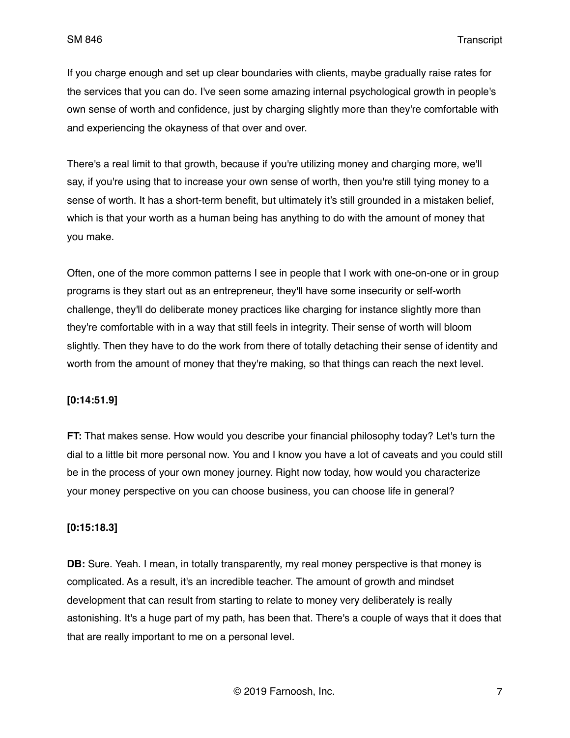If you charge enough and set up clear boundaries with clients, maybe gradually raise rates for the services that you can do. I've seen some amazing internal psychological growth in people's own sense of worth and confidence, just by charging slightly more than they're comfortable with and experiencing the okayness of that over and over.

There's a real limit to that growth, because if you're utilizing money and charging more, we'll say, if you're using that to increase your own sense of worth, then you're still tying money to a sense of worth. It has a short-term benefit, but ultimately it's still grounded in a mistaken belief, which is that your worth as a human being has anything to do with the amount of money that you make.

Often, one of the more common patterns I see in people that I work with one-on-one or in group programs is they start out as an entrepreneur, they'll have some insecurity or self-worth challenge, they'll do deliberate money practices like charging for instance slightly more than they're comfortable with in a way that still feels in integrity. Their sense of worth will bloom slightly. Then they have to do the work from there of totally detaching their sense of identity and worth from the amount of money that they're making, so that things can reach the next level.

### **[0:14:51.9]**

**FT:** That makes sense. How would you describe your financial philosophy today? Let's turn the dial to a little bit more personal now. You and I know you have a lot of caveats and you could still be in the process of your own money journey. Right now today, how would you characterize your money perspective on you can choose business, you can choose life in general?

#### **[0:15:18.3]**

**DB:** Sure. Yeah. I mean, in totally transparently, my real money perspective is that money is complicated. As a result, it's an incredible teacher. The amount of growth and mindset development that can result from starting to relate to money very deliberately is really astonishing. It's a huge part of my path, has been that. There's a couple of ways that it does that that are really important to me on a personal level.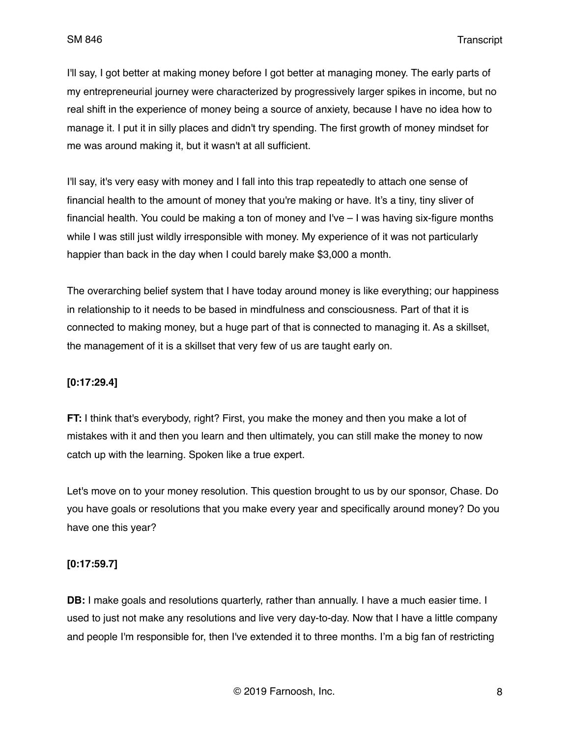I'll say, I got better at making money before I got better at managing money. The early parts of my entrepreneurial journey were characterized by progressively larger spikes in income, but no real shift in the experience of money being a source of anxiety, because I have no idea how to manage it. I put it in silly places and didn't try spending. The first growth of money mindset for me was around making it, but it wasn't at all sufficient.

I'll say, it's very easy with money and I fall into this trap repeatedly to attach one sense of financial health to the amount of money that you're making or have. It's a tiny, tiny sliver of financial health. You could be making a ton of money and I've – I was having six-figure months while I was still just wildly irresponsible with money. My experience of it was not particularly happier than back in the day when I could barely make \$3,000 a month.

The overarching belief system that I have today around money is like everything; our happiness in relationship to it needs to be based in mindfulness and consciousness. Part of that it is connected to making money, but a huge part of that is connected to managing it. As a skillset, the management of it is a skillset that very few of us are taught early on.

## **[0:17:29.4]**

**FT:** I think that's everybody, right? First, you make the money and then you make a lot of mistakes with it and then you learn and then ultimately, you can still make the money to now catch up with the learning. Spoken like a true expert.

Let's move on to your money resolution. This question brought to us by our sponsor, Chase. Do you have goals or resolutions that you make every year and specifically around money? Do you have one this year?

## **[0:17:59.7]**

**DB:** I make goals and resolutions quarterly, rather than annually. I have a much easier time. I used to just not make any resolutions and live very day-to-day. Now that I have a little company and people I'm responsible for, then I've extended it to three months. I'm a big fan of restricting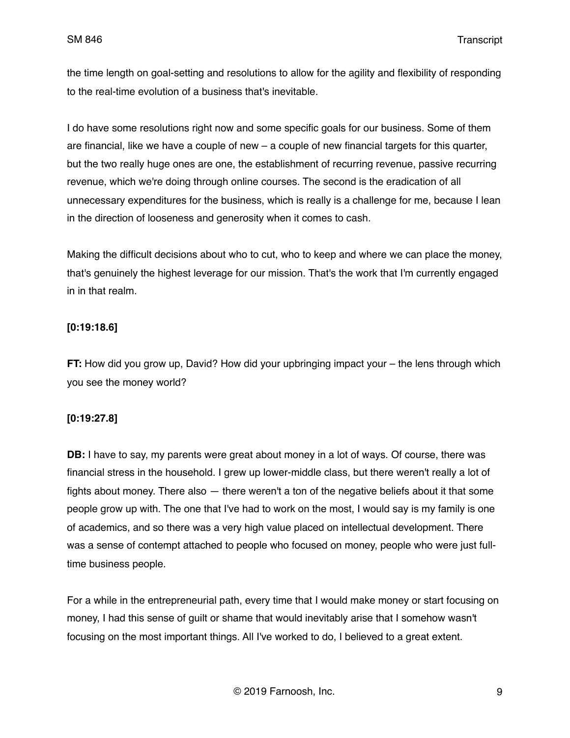the time length on goal-setting and resolutions to allow for the agility and flexibility of responding to the real-time evolution of a business that's inevitable.

I do have some resolutions right now and some specific goals for our business. Some of them are financial, like we have a couple of new – a couple of new financial targets for this quarter, but the two really huge ones are one, the establishment of recurring revenue, passive recurring revenue, which we're doing through online courses. The second is the eradication of all unnecessary expenditures for the business, which is really is a challenge for me, because I lean in the direction of looseness and generosity when it comes to cash.

Making the difficult decisions about who to cut, who to keep and where we can place the money, that's genuinely the highest leverage for our mission. That's the work that I'm currently engaged in in that realm.

## **[0:19:18.6]**

**FT:** How did you grow up, David? How did your upbringing impact your – the lens through which you see the money world?

## **[0:19:27.8]**

**DB:** I have to say, my parents were great about money in a lot of ways. Of course, there was financial stress in the household. I grew up lower-middle class, but there weren't really a lot of fights about money. There also — there weren't a ton of the negative beliefs about it that some people grow up with. The one that I've had to work on the most, I would say is my family is one of academics, and so there was a very high value placed on intellectual development. There was a sense of contempt attached to people who focused on money, people who were just fulltime business people.

For a while in the entrepreneurial path, every time that I would make money or start focusing on money, I had this sense of guilt or shame that would inevitably arise that I somehow wasn't focusing on the most important things. All I've worked to do, I believed to a great extent.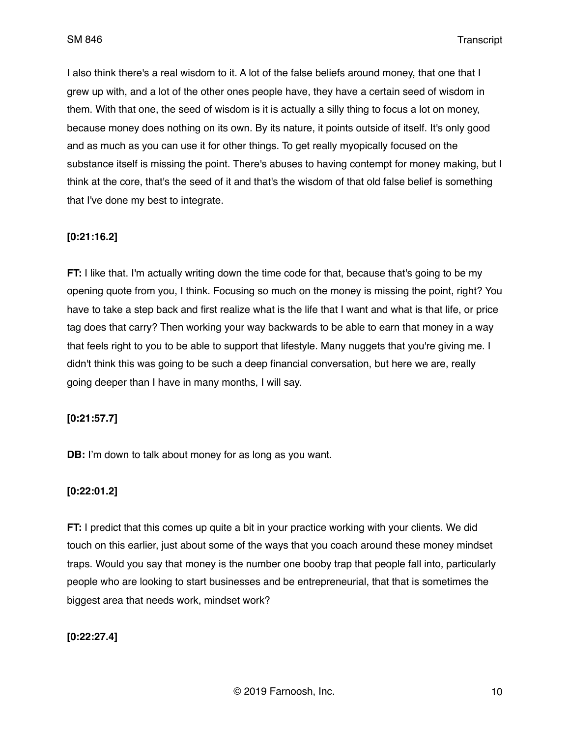I also think there's a real wisdom to it. A lot of the false beliefs around money, that one that I grew up with, and a lot of the other ones people have, they have a certain seed of wisdom in them. With that one, the seed of wisdom is it is actually a silly thing to focus a lot on money, because money does nothing on its own. By its nature, it points outside of itself. It's only good and as much as you can use it for other things. To get really myopically focused on the substance itself is missing the point. There's abuses to having contempt for money making, but I think at the core, that's the seed of it and that's the wisdom of that old false belief is something that I've done my best to integrate.

## **[0:21:16.2]**

**FT:** I like that. I'm actually writing down the time code for that, because that's going to be my opening quote from you, I think. Focusing so much on the money is missing the point, right? You have to take a step back and first realize what is the life that I want and what is that life, or price tag does that carry? Then working your way backwards to be able to earn that money in a way that feels right to you to be able to support that lifestyle. Many nuggets that you're giving me. I didn't think this was going to be such a deep financial conversation, but here we are, really going deeper than I have in many months, I will say.

#### **[0:21:57.7]**

**DB:** I'm down to talk about money for as long as you want.

#### **[0:22:01.2]**

**FT:** I predict that this comes up quite a bit in your practice working with your clients. We did touch on this earlier, just about some of the ways that you coach around these money mindset traps. Would you say that money is the number one booby trap that people fall into, particularly people who are looking to start businesses and be entrepreneurial, that that is sometimes the biggest area that needs work, mindset work?

#### **[0:22:27.4]**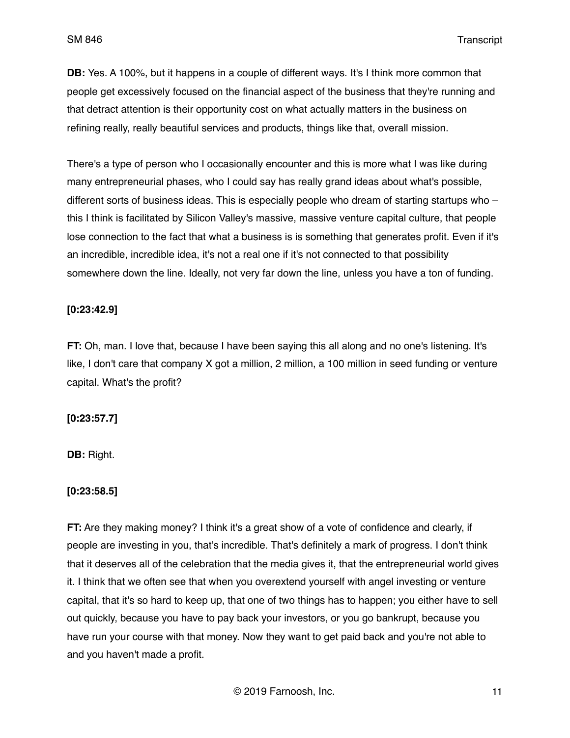**DB:** Yes. A 100%, but it happens in a couple of different ways. It's I think more common that people get excessively focused on the financial aspect of the business that they're running and that detract attention is their opportunity cost on what actually matters in the business on refining really, really beautiful services and products, things like that, overall mission.

There's a type of person who I occasionally encounter and this is more what I was like during many entrepreneurial phases, who I could say has really grand ideas about what's possible, different sorts of business ideas. This is especially people who dream of starting startups who – this I think is facilitated by Silicon Valley's massive, massive venture capital culture, that people lose connection to the fact that what a business is is something that generates profit. Even if it's an incredible, incredible idea, it's not a real one if it's not connected to that possibility somewhere down the line. Ideally, not very far down the line, unless you have a ton of funding.

## **[0:23:42.9]**

**FT:** Oh, man. I love that, because I have been saying this all along and no one's listening. It's like, I don't care that company X got a million, 2 million, a 100 million in seed funding or venture capital. What's the profit?

## **[0:23:57.7]**

**DB:** Right.

## **[0:23:58.5]**

**FT:** Are they making money? I think it's a great show of a vote of confidence and clearly, if people are investing in you, that's incredible. That's definitely a mark of progress. I don't think that it deserves all of the celebration that the media gives it, that the entrepreneurial world gives it. I think that we often see that when you overextend yourself with angel investing or venture capital, that it's so hard to keep up, that one of two things has to happen; you either have to sell out quickly, because you have to pay back your investors, or you go bankrupt, because you have run your course with that money. Now they want to get paid back and you're not able to and you haven't made a profit.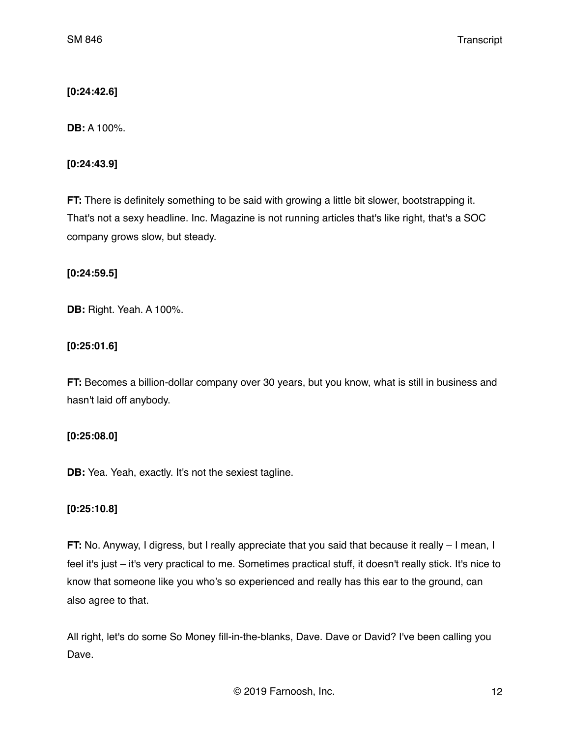# **[0:24:42.6]**

**DB:** A 100%.

## **[0:24:43.9]**

**FT:** There is definitely something to be said with growing a little bit slower, bootstrapping it. That's not a sexy headline. Inc. Magazine is not running articles that's like right, that's a SOC company grows slow, but steady.

## **[0:24:59.5]**

**DB:** Right. Yeah. A 100%.

# **[0:25:01.6]**

**FT:** Becomes a billion-dollar company over 30 years, but you know, what is still in business and hasn't laid off anybody.

# **[0:25:08.0]**

**DB:** Yea. Yeah, exactly. It's not the sexiest tagline.

# **[0:25:10.8]**

**FT:** No. Anyway, I digress, but I really appreciate that you said that because it really – I mean, I feel it's just – it's very practical to me. Sometimes practical stuff, it doesn't really stick. It's nice to know that someone like you who's so experienced and really has this ear to the ground, can also agree to that.

All right, let's do some So Money fill-in-the-blanks, Dave. Dave or David? I've been calling you Dave.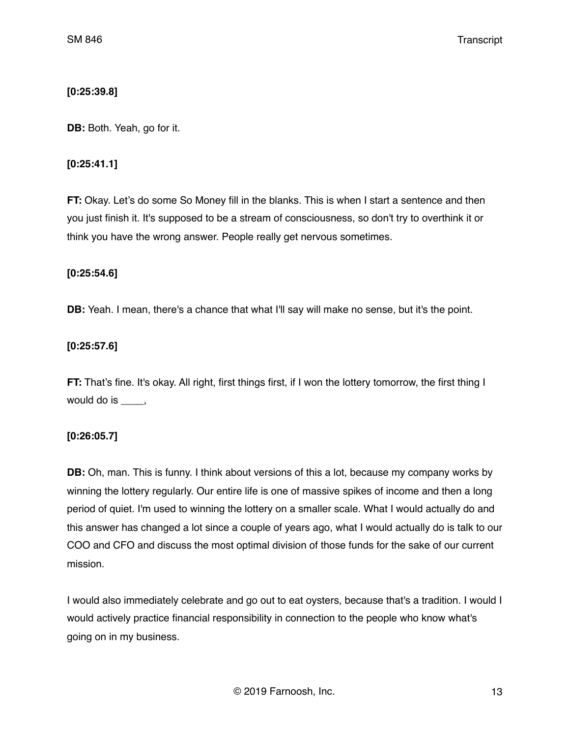### **[0:25:39.8]**

**DB:** Both. Yeah, go for it.

### **[0:25:41.1]**

**FT:** Okay. Let's do some So Money fill in the blanks. This is when I start a sentence and then you just finish it. It's supposed to be a stream of consciousness, so don't try to overthink it or think you have the wrong answer. People really get nervous sometimes.

### **[0:25:54.6]**

**DB:** Yeah. I mean, there's a chance that what I'll say will make no sense, but it's the point.

## **[0:25:57.6]**

**FT:** That's fine. It's okay. All right, first things first, if I won the lottery tomorrow, the first thing I would do is \_\_\_\_,

## **[0:26:05.7]**

**DB:** Oh, man. This is funny. I think about versions of this a lot, because my company works by winning the lottery regularly. Our entire life is one of massive spikes of income and then a long period of quiet. I'm used to winning the lottery on a smaller scale. What I would actually do and this answer has changed a lot since a couple of years ago, what I would actually do is talk to our COO and CFO and discuss the most optimal division of those funds for the sake of our current mission.

I would also immediately celebrate and go out to eat oysters, because that's a tradition. I would I would actively practice financial responsibility in connection to the people who know what's going on in my business.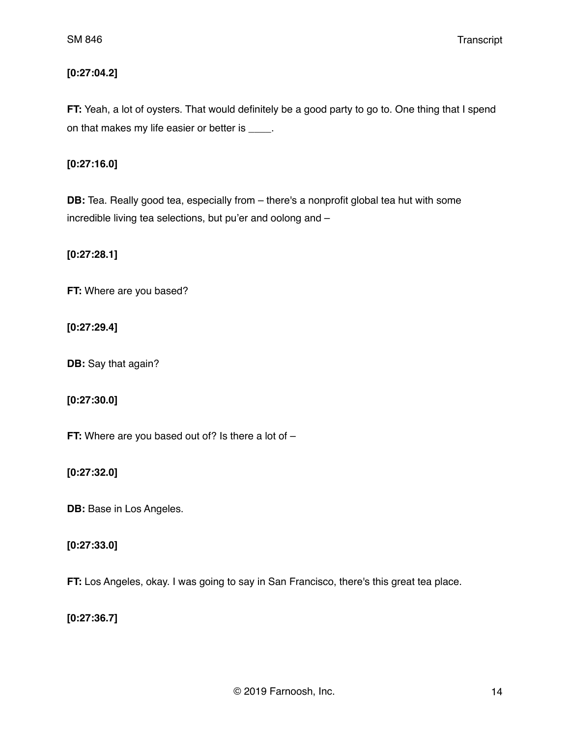# **[0:27:04.2]**

**FT:** Yeah, a lot of oysters. That would definitely be a good party to go to. One thing that I spend on that makes my life easier or better is \_\_\_\_.

## **[0:27:16.0]**

**DB:** Tea. Really good tea, especially from – there's a nonprofit global tea hut with some incredible living tea selections, but pu'er and oolong and –

**[0:27:28.1]**

**FT:** Where are you based?

**[0:27:29.4]**

**DB:** Say that again?

**[0:27:30.0]**

**FT:** Where are you based out of? Is there a lot of –

**[0:27:32.0]**

**DB:** Base in Los Angeles.

### **[0:27:33.0]**

**FT:** Los Angeles, okay. I was going to say in San Francisco, there's this great tea place.

**[0:27:36.7]**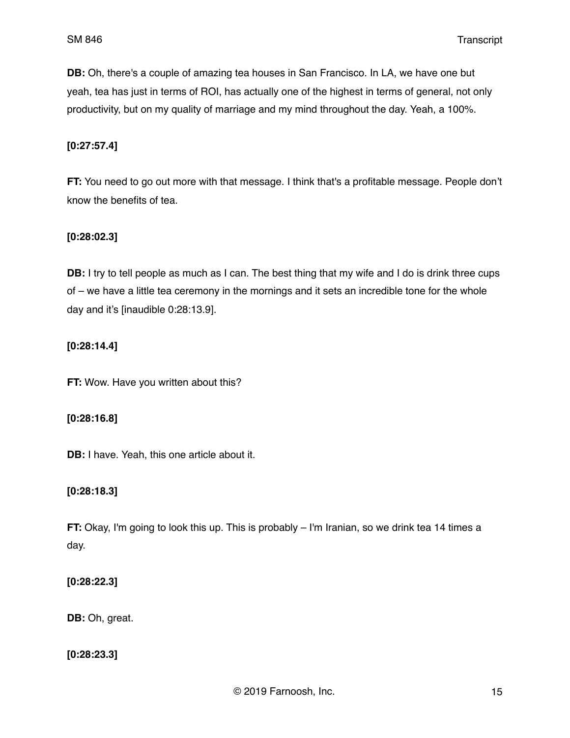**DB:** Oh, there's a couple of amazing tea houses in San Francisco. In LA, we have one but yeah, tea has just in terms of ROI, has actually one of the highest in terms of general, not only productivity, but on my quality of marriage and my mind throughout the day. Yeah, a 100%.

## **[0:27:57.4]**

**FT:** You need to go out more with that message. I think that's a profitable message. People don't know the benefits of tea.

### **[0:28:02.3]**

**DB:** I try to tell people as much as I can. The best thing that my wife and I do is drink three cups of – we have a little tea ceremony in the mornings and it sets an incredible tone for the whole day and it's [inaudible 0:28:13.9].

## **[0:28:14.4]**

**FT:** Wow. Have you written about this?

#### **[0:28:16.8]**

**DB:** I have. Yeah, this one article about it.

## **[0:28:18.3]**

**FT:** Okay, I'm going to look this up. This is probably – I'm Iranian, so we drink tea 14 times a day.

## **[0:28:22.3]**

**DB:** Oh, great.

**[0:28:23.3]**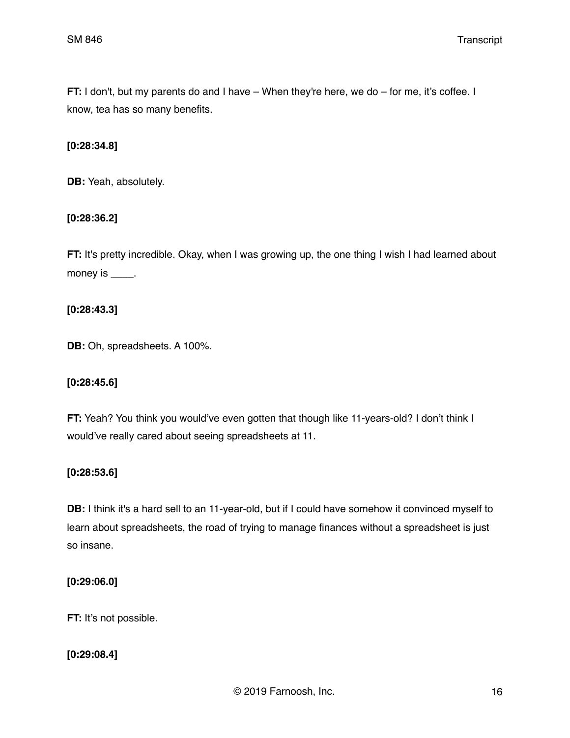**FT:** I don't, but my parents do and I have – When they're here, we do – for me, it's coffee. I know, tea has so many benefits.

#### **[0:28:34.8]**

**DB:** Yeah, absolutely.

### **[0:28:36.2]**

**FT:** It's pretty incredible. Okay, when I was growing up, the one thing I wish I had learned about money is  $\_\_\_\_\_\$ .

**[0:28:43.3]**

**DB:** Oh, spreadsheets. A 100%.

## **[0:28:45.6]**

**FT:** Yeah? You think you would've even gotten that though like 11-years-old? I don't think I would've really cared about seeing spreadsheets at 11.

## **[0:28:53.6]**

**DB:** I think it's a hard sell to an 11-year-old, but if I could have somehow it convinced myself to learn about spreadsheets, the road of trying to manage finances without a spreadsheet is just so insane.

### **[0:29:06.0]**

**FT:** It's not possible.

## **[0:29:08.4]**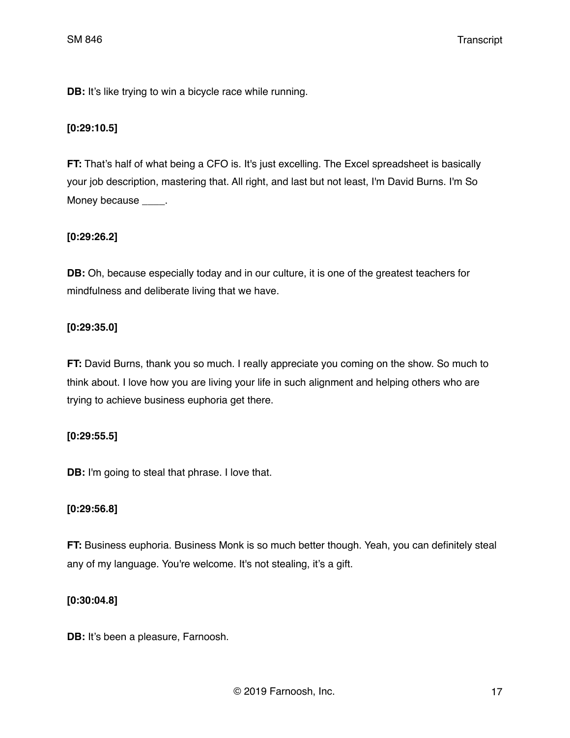**DB:** It's like trying to win a bicycle race while running.

# **[0:29:10.5]**

**FT:** That's half of what being a CFO is. It's just excelling. The Excel spreadsheet is basically your job description, mastering that. All right, and last but not least, I'm David Burns. I'm So Money because \_\_\_\_.

# **[0:29:26.2]**

**DB:** Oh, because especially today and in our culture, it is one of the greatest teachers for mindfulness and deliberate living that we have.

## **[0:29:35.0]**

**FT:** David Burns, thank you so much. I really appreciate you coming on the show. So much to think about. I love how you are living your life in such alignment and helping others who are trying to achieve business euphoria get there.

## **[0:29:55.5]**

**DB:** I'm going to steal that phrase. I love that.

## **[0:29:56.8]**

**FT:** Business euphoria. Business Monk is so much better though. Yeah, you can definitely steal any of my language. You're welcome. It's not stealing, it's a gift.

## **[0:30:04.8]**

**DB:** It's been a pleasure, Farnoosh.